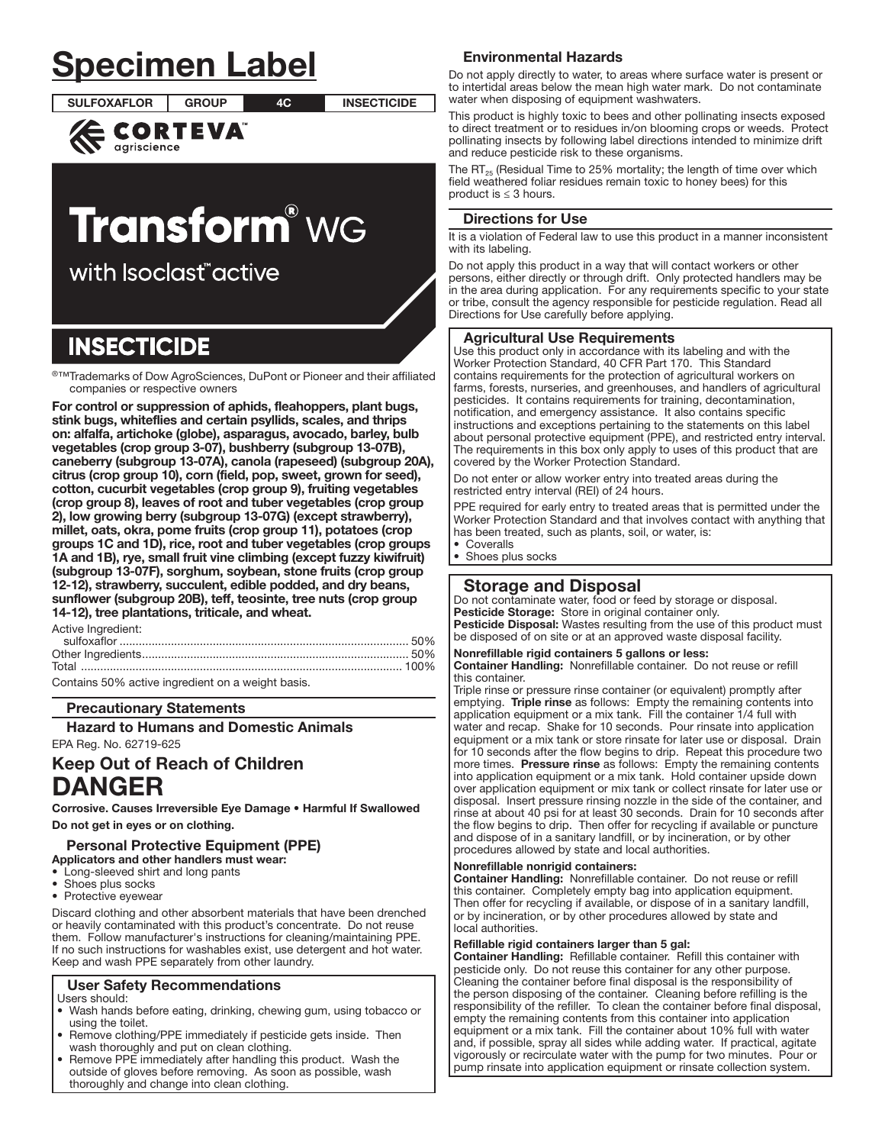# **Specimen Label**

**SULFOXAFLOR GROUP**  4C

**INSECTICIDE** 



# **Transform**® WG

with Isoclast active

## **INSECTICIDE**

®™Trademarks of Dow AgroSciences, DuPont or Pioneer and their affiliated companies or respective owners

For control or suppression of aphids, fleahoppers, plant bugs, stink bugs, whiteflies and certain psyllids, scales, and thrips on: alfalfa, artichoke (globe), asparagus, avocado, barley, bulb vegetables (crop group 3-07), bushberry (subgroup 13-07B), caneberry (subgroup 13-07A), canola (rapeseed) (subgroup 20A), citrus (crop group 10), corn (field, pop, sweet, grown for seed), cotton, cucurbit vegetables (crop group 9), fruiting vegetables (crop group 8), leaves of root and tuber vegetables (crop group 2), low growing berry (subgroup 13-07G) (except strawberry), millet, oats, okra, pome fruits (crop group 11), potatoes (crop groups 1C and 1D), rice, root and tuber vegetables (crop groups 1A and 1B), rye, small fruit vine climbing (except fuzzy kiwifruit) (subgroup 13-07F), sorghum, soybean, stone fruits (crop group 12-12), strawberry, succulent, edible podded, and dry beans, sunflower (subgroup 20B), teff, teosinte, tree nuts (crop group 14-12), tree plantations, triticale, and wheat.

Active Ingredient:

| Operations, EOOC, produce the superflame and a construct leavestar |  |
|--------------------------------------------------------------------|--|

Contains 50% active ingredient on a weight basis.

## **Precautionary Statements**

**Hazard to Humans and Domestic Animals** EPA Reg. No. 62719-625

## **Keep Out of Reach of Children DANGER**

Corrosive. Causes Irreversible Eye Damage . Harmful If Swallowed Do not get in eyes or on clothing.

#### **Personal Protective Equipment (PPE)** Applicators and other handlers must wear:

- Long-sleeved shirt and long pants Shoes plus socks
- Protective eyewear

Discard clothing and other absorbent materials that have been drenched or heavily contaminated with this product's concentrate. Do not reuse them. Follow manufacturer's instructions for cleaning/maintaining PPE. If no such instructions for washables exist, use detergent and hot water. Keep and wash PPE separately from other laundry.

## **User Safety Recommendations**

#### Users should:

- · Wash hands before eating, drinking, chewing gum, using tobacco or using the toilet.
- Remove clothing/PPE immediately if pesticide gets inside. Then wash thoroughly and put on clean clothing.
- Remove PPE immediately after handling this product. Wash the outside of gloves before removing. As soon as possible, wash thoroughly and change into clean clothing.

## **Environmental Hazards**

Do not apply directly to water, to areas where surface water is present or to intertidal areas below the mean high water mark. Do not contaminate water when disposing of equipment washwaters.

This product is highly toxic to bees and other pollinating insects exposed to direct treatment or to residues in/on blooming crops or weeds. Protect pollinating insects by following label directions intended to minimize drift and reduce pesticide risk to these organisms.

The  $RT_{25}$  (Residual Time to 25% mortality; the length of time over which field weathered foliar residues remain toxic to honey bees) for this product is  $\leq$  3 hours.

## **Directions for Use**

It is a violation of Federal law to use this product in a manner inconsistent with its labeling

Do not apply this product in a way that will contact workers or other persons, either directly or through drift. Only protected handlers may be in the area during application. For any requirements specific to your state or tribe, consult the agency responsible for pesticide regulation. Read all Directions for Use carefully before applying.

## **Agricultural Use Requirements**

Use this product only in accordance with its labeling and with the Worker Protection Standard, 40 CFR Part 170. This Standard contains requirements for the protection of agricultural workers on farms, forests, nurseries, and greenhouses, and handlers of agricultural pesticides. It contains requirements for training, decontamination, notification, and emergency assistance. It also contains specific instructions and exceptions pertaining to the statements on this label about personal protective equipment (PPE), and restricted entry interval. The requirements in this box only apply to uses of this product that are covered by the Worker Protection Standard.

Do not enter or allow worker entry into treated areas during the restricted entry interval (REI) of 24 hours.

PPE required for early entry to treated areas that is permitted under the Worker Protection Standard and that involves contact with anything that has been treated, such as plants, soil, or water, is:

- Coveralls
- Shoes plus socks

## **Storage and Disposal**

Do not contaminate water, food or feed by storage or disposal. Pesticide Storage: Store in original container only.

Pesticide Disposal: Wastes resulting from the use of this product must be disposed of on site or at an approved waste disposal facility.

#### Nonrefillable rigid containers 5 gallons or less:

Container Handling: Nonrefillable container. Do not reuse or refill this container.

Triple rinse or pressure rinse container (or equivalent) promptly after emptying. Triple rinse as follows: Empty the remaining contents into application equipment or a mix tank. Fill the container 1/4 full with water and recap. Shake for 10 seconds. Pour rinsate into application equipment or a mix tank or store rinsate for later use or disposal. Drain for 10 seconds after the flow begins to drip. Repeat this procedure two more times. Pressure rinse as follows: Empty the remaining contents into application equipment or a mix tank. Hold container upside down over application equipment or mix tank or collect rinsate for later use or disposal. Insert pressure rinsing nozzle in the side of the container, and rinse at about 40 psi for at least 30 seconds. Drain for 10 seconds after the flow begins to drip. Then offer for recycling if available or puncture and dispose of in a sanitary landfill, or by incineration, or by other procedures allowed by state and local authorities.

#### Nonrefillable nonrigid containers:

Container Handling: Nonrefillable container. Do not reuse or refill this container. Completely empty bag into application equipment. Then offer for recycling if available, or dispose of in a sanitary landfill, or by incineration, or by other procedures allowed by state and local authorities.

#### Refillable rigid containers larger than 5 gal:

Container Handling: Refillable container. Refill this container with pesticide only. Do not reuse this container for any other purpose. Cleaning the container before final disposal is the responsibility of the person disposing of the container. Cleaning before refilling is the responsibility of the refiller. To clean the container before final disposal, empty the remaining contents from this container into application equipment or a mix tank. Fill the container about 10% full with water and, if possible, spray all sides while adding water. If practical, agitate vigorously or recirculate water with the pump for two minutes. Pour or pump rinsate into application equipment or rinsate collection system.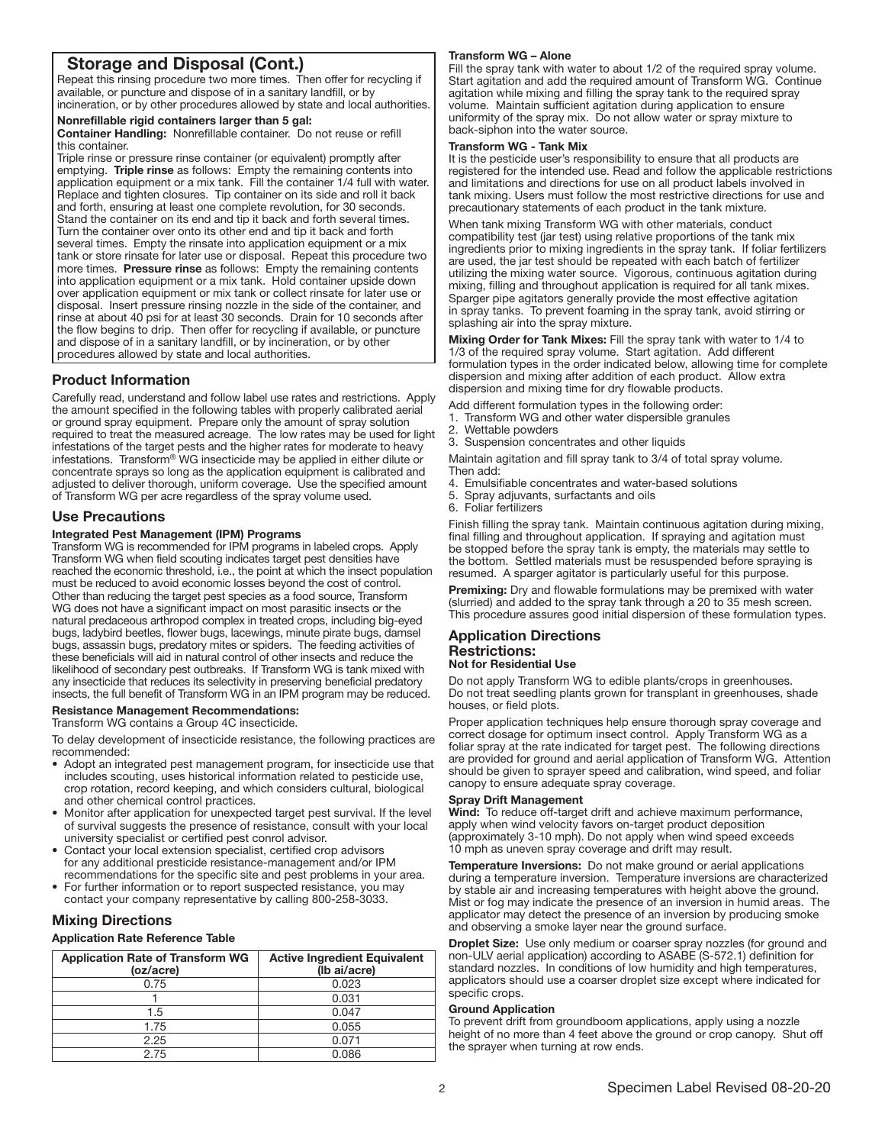## Storage and Disposal (Cont.)

Repeat this rinsing procedure two more times. Then offer for recycling if available, or puncture and dispose of in a sanitary landfill, or by incineration, or by other procedures allowed by state and local authorities.

Nonrefillable rigid containers larger than 5 gal:

Container Handling: Nonrefillable container. Do not reuse or refill this container.

Triple rinse or pressure rinse container (or equivalent) promptly after emptying. Triple rinse as follows: Empty the remaining contents into application equipment or a mix tank. Fill the container 1/4 full with water. Replace and tighten closures. Tip container on its side and roll it back and forth, ensuring at least one complete revolution, for 30 seconds. Stand the container on its end and tip it back and forth several times. Turn the container over onto its other end and tip it back and forth several times. Empty the rinsate into application equipment or a mix tank or store rinsate for later use or disposal. Repeat this procedure two more times. Pressure rinse as follows: Empty the remaining contents into application equipment or a mix tank. Hold container upside down over application equipment or mix tank or collect rinsate for later use or disposal. Insert pressure rinsing nozzle in the side of the container, and rinse at about 40 psi for at least 30 seconds. Drain for 10 seconds after the flow begins to drip. Then offer for recycling if available, or puncture and dispose of in a sanitary landfill, or by incineration, or by other procedures allowed by state and local authorities.

## Product Information

Carefully read, understand and follow label use rates and restrictions. Apply the amount specified in the following tables with properly calibrated aerial or ground spray equipment. Prepare only the amount of spray solution required to treat the measured acreage. The low rates may be used for light infestations of the target pests and the higher rates for moderate to heavy infestations. Transform® WG insecticide may be applied in either dilute or concentrate sprays so long as the application equipment is calibrated and adjusted to deliver thorough, uniform coverage. Use the specified amount of Transform WG per acre regardless of the spray volume used.

## Use Precautions

#### Integrated Pest Management (IPM) Programs

Transform WG is recommended for IPM programs in labeled crops. Apply Transform WG when field scouting indicates target pest densities have reached the economic threshold, i.e., the point at which the insect population must be reduced to avoid economic losses beyond the cost of control. Other than reducing the target pest species as a food source, Transform WG does not have a significant impact on most parasitic insects or the natural predaceous arthropod complex in treated crops, including big-eyed bugs, ladybird beetles, flower bugs, lacewings, minute pirate bugs, damsel bugs, assassin bugs, predatory mites or spiders. The feeding activities of these beneficials will aid in natural control of other insects and reduce the likelihood of secondary pest outbreaks. If Transform WG is tank mixed with any insecticide that reduces its selectivity in preserving beneficial predatory insects, the full benefit of Transform WG in an IPM program may be reduced.

## Resistance Management Recommendations:

Transform WG contains a Group 4C insecticide.

To delay development of insecticide resistance, the following practices are recommended:

- Adopt an integrated pest management program, for insecticide use that includes scouting, uses historical information related to pesticide use, crop rotation, record keeping, and which considers cultural, biological and other chemical control practices.
- Monitor after application for unexpected target pest survival. If the level of survival suggests the presence of resistance, consult with your local university specialist or certified pest conrol advisor.
- Contact your local extension specialist, certified crop advisors for any additional presticide resistance-management and/or IPM recommendations for the specific site and pest problems in your area.
- For further information or to report suspected resistance, you may contact your company representative by calling 800-258-3033.

## Mixing Directions

#### Application Rate Reference Table

| <b>Application Rate of Transform WG</b><br>(oz/acre) | <b>Active Ingredient Equivalent</b><br>(Ib ai/acre) |
|------------------------------------------------------|-----------------------------------------------------|
| 0.75                                                 | 0.023                                               |
|                                                      | 0.031                                               |
| 1.5                                                  | 0.047                                               |
| 1.75                                                 | 0.055                                               |
| 2.25                                                 | 0.071                                               |
| 2.75                                                 | 0.086                                               |

#### Transform WG – Alone

Fill the spray tank with water to about 1/2 of the required spray volume. Start agitation and add the required amount of Transform WG. Continue agitation while mixing and filling the spray tank to the required spray volume. Maintain sufficient agitation during application to ensure uniformity of the spray mix. Do not allow water or spray mixture to back-siphon into the water source.

#### Transform WG - Tank Mix

It is the pesticide user's responsibility to ensure that all products are registered for the intended use. Read and follow the applicable restrictions and limitations and directions for use on all product labels involved in tank mixing. Users must follow the most restrictive directions for use and precautionary statements of each product in the tank mixture.

When tank mixing Transform WG with other materials, conduct compatibility test (jar test) using relative proportions of the tank mix ingredients prior to mixing ingredients in the spray tank. If foliar fertilizers are used, the jar test should be repeated with each batch of fertilizer utilizing the mixing water source. Vigorous, continuous agitation during mixing, filling and throughout application is required for all tank mixes. Sparger pipe agitators generally provide the most effective agitation in spray tanks. To prevent foaming in the spray tank, avoid stirring or splashing air into the spray mixture.

Mixing Order for Tank Mixes: Fill the spray tank with water to 1/4 to 1/3 of the required spray volume. Start agitation. Add different formulation types in the order indicated below, allowing time for complete dispersion and mixing after addition of each product. Allow extra dispersion and mixing time for dry flowable products.

Add different formulation types in the following order:

- 1. Transform WG and other water dispersible granules
- Wettable powders
- 3. Suspension concentrates and other liquids

Maintain agitation and fill spray tank to 3/4 of total spray volume. Then add:

- 4. Emulsifiable concentrates and water-based solutions
- 5. Spray adjuvants, surfactants and oils
- 6. Foliar fertilizers

Finish filling the spray tank. Maintain continuous agitation during mixing, final filling and throughout application. If spraying and agitation must be stopped before the spray tank is empty, the materials may settle to the bottom. Settled materials must be resuspended before spraying is resumed. A sparger agitator is particularly useful for this purpose.

Premixing: Dry and flowable formulations may be premixed with water (slurried) and added to the spray tank through a 20 to 35 mesh screen. This procedure assures good initial dispersion of these formulation types.

#### Application Directions Restrictions: Not for Residential Use

Do not apply Transform WG to edible plants/crops in greenhouses. Do not treat seedling plants grown for transplant in greenhouses, shade houses, or field plots.

Proper application techniques help ensure thorough spray coverage and correct dosage for optimum insect control. Apply Transform WG as a foliar spray at the rate indicated for target pest. The following directions are provided for ground and aerial application of Transform WG. Attention should be given to sprayer speed and calibration, wind speed, and foliar canopy to ensure adequate spray coverage.

#### Spray Drift Management

Wind: To reduce off-target drift and achieve maximum performance, apply when wind velocity favors on-target product deposition (approximately 3-10 mph). Do not apply when wind speed exceeds 10 mph as uneven spray coverage and drift may result.

Temperature Inversions: Do not make ground or aerial applications during a temperature inversion. Temperature inversions are characterized by stable air and increasing temperatures with height above the ground. Mist or fog may indicate the presence of an inversion in humid areas. The applicator may detect the presence of an inversion by producing smoke and observing a smoke layer near the ground surface.

Droplet Size: Use only medium or coarser spray nozzles (for ground and non-ULV aerial application) according to ASABE (S-572.1) definition for standard nozzles. In conditions of low humidity and high temperatures, applicators should use a coarser droplet size except where indicated for specific crops.

#### Ground Application

To prevent drift from groundboom applications, apply using a nozzle height of no more than 4 feet above the ground or crop canopy. Shut off the sprayer when turning at row ends.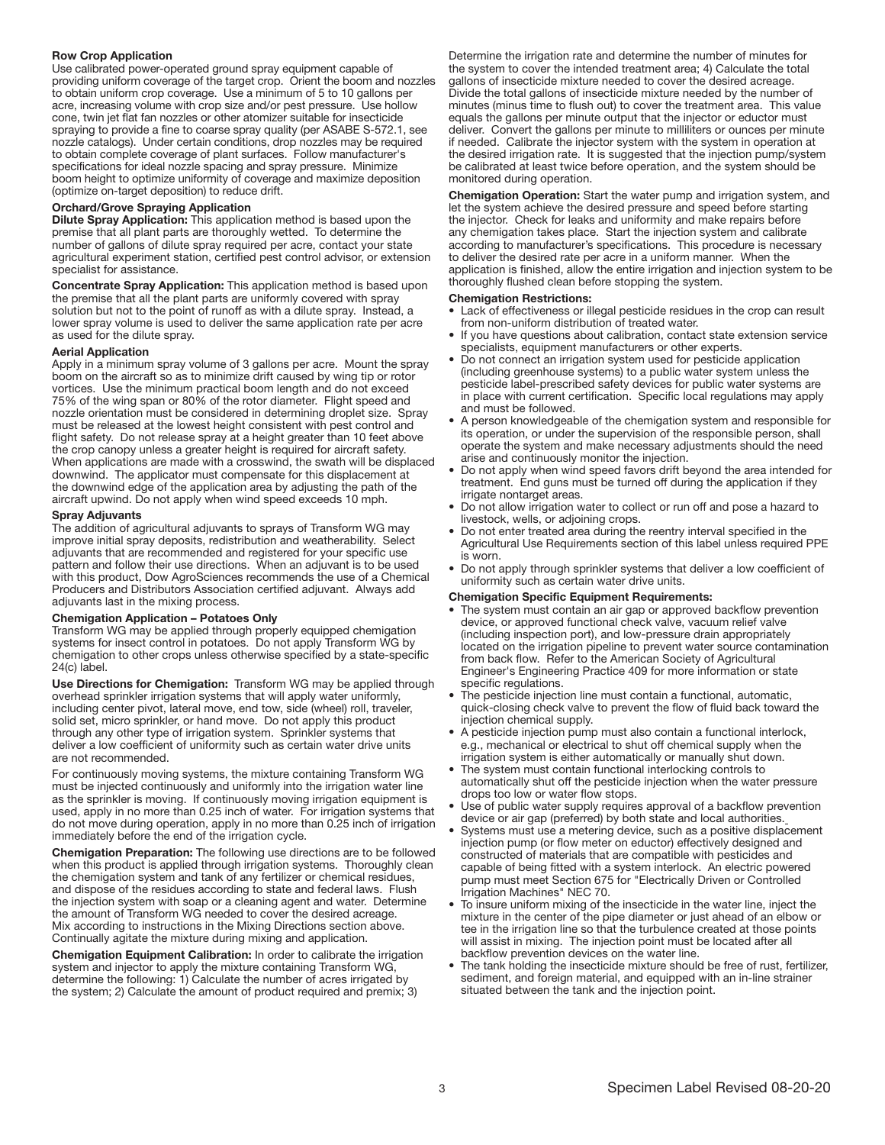#### Row Crop Application

Use calibrated power-operated ground spray equipment capable of providing uniform coverage of the target crop. Orient the boom and nozzles to obtain uniform crop coverage. Use a minimum of 5 to 10 gallons per acre, increasing volume with crop size and/or pest pressure. Use hollow cone, twin jet flat fan nozzles or other atomizer suitable for insecticide spraying to provide a fine to coarse spray quality (per ASABE S-572.1, see nozzle catalogs). Under certain conditions, drop nozzles may be required to obtain complete coverage of plant surfaces. Follow manufacturer's specifications for ideal nozzle spacing and spray pressure. Minimize boom height to optimize uniformity of coverage and maximize deposition (optimize on-target deposition) to reduce drift.

#### Orchard/Grove Spraying Application

Dilute Spray Application: This application method is based upon the premise that all plant parts are thoroughly wetted. To determine the number of gallons of dilute spray required per acre, contact your state agricultural experiment station, certified pest control advisor, or extension specialist for assistance.

Concentrate Spray Application: This application method is based upon the premise that all the plant parts are uniformly covered with spray solution but not to the point of runoff as with a dilute spray. Instead, a lower spray volume is used to deliver the same application rate per acre as used for the dilute spray.

#### Aerial Application

Apply in a minimum spray volume of 3 gallons per acre. Mount the spray boom on the aircraft so as to minimize drift caused by wing tip or rotor vortices. Use the minimum practical boom length and do not exceed 75% of the wing span or 80% of the rotor diameter. Flight speed and nozzle orientation must be considered in determining droplet size. Spray must be released at the lowest height consistent with pest control and flight safety. Do not release spray at a height greater than 10 feet above the crop canopy unless a greater height is required for aircraft safety. When applications are made with a crosswind, the swath will be displaced downwind. The applicator must compensate for this displacement at the downwind edge of the application area by adjusting the path of the aircraft upwind. Do not apply when wind speed exceeds 10 mph.

#### Spray Adjuvants

The addition of agricultural adjuvants to sprays of Transform WG may improve initial spray deposits, redistribution and weatherability. Select adjuvants that are recommended and registered for your specific use pattern and follow their use directions. When an adjuvant is to be used with this product, Dow AgroSciences recommends the use of a Chemical Producers and Distributors Association certified adjuvant. Always add adjuvants last in the mixing process.

#### Chemigation Application – Potatoes Only

Transform WG may be applied through properly equipped chemigation systems for insect control in potatoes. Do not apply Transform WG by chemigation to other crops unless otherwise specified by a state-specific 24(c) label.

Use Directions for Chemigation: Transform WG may be applied through overhead sprinkler irrigation systems that will apply water uniformly, including center pivot, lateral move, end tow, side (wheel) roll, traveler, solid set, micro sprinkler, or hand move. Do not apply this product through any other type of irrigation system. Sprinkler systems that deliver a low coefficient of uniformity such as certain water drive units are not recommended.

For continuously moving systems, the mixture containing Transform WG must be injected continuously and uniformly into the irrigation water line as the sprinkler is moving. If continuously moving irrigation equipment is used, apply in no more than 0.25 inch of water. For irrigation systems that do not move during operation, apply in no more than 0.25 inch of irrigation immediately before the end of the irrigation cycle.

Chemigation Preparation: The following use directions are to be followed when this product is applied through irrigation systems. Thoroughly clean the chemigation system and tank of any fertilizer or chemical residues, and dispose of the residues according to state and federal laws. Flush the injection system with soap or a cleaning agent and water. Determine the amount of Transform WG needed to cover the desired acreage. Mix according to instructions in the Mixing Directions section above. Continually agitate the mixture during mixing and application.

Chemigation Equipment Calibration: In order to calibrate the irrigation system and injector to apply the mixture containing Transform WG, determine the following: 1) Calculate the number of acres irrigated by the system; 2) Calculate the amount of product required and premix; 3)

Determine the irrigation rate and determine the number of minutes for the system to cover the intended treatment area; 4) Calculate the total gallons of insecticide mixture needed to cover the desired acreage. Divide the total gallons of insecticide mixture needed by the number of minutes (minus time to flush out) to cover the treatment area. This value equals the gallons per minute output that the injector or eductor must deliver. Convert the gallons per minute to milliliters or ounces per minute if needed. Calibrate the injector system with the system in operation at the desired irrigation rate. It is suggested that the injection pump/system be calibrated at least twice before operation, and the system should be monitored during operation.

Chemigation Operation: Start the water pump and irrigation system, and let the system achieve the desired pressure and speed before starting the injector. Check for leaks and uniformity and make repairs before any chemigation takes place. Start the injection system and calibrate according to manufacturer's specifications. This procedure is necessary to deliver the desired rate per acre in a uniform manner. When the application is finished, allow the entire irrigation and injection system to be thoroughly flushed clean before stopping the system.

#### Chemigation Restrictions:

- Lack of effectiveness or illegal pesticide residues in the crop can result from non-uniform distribution of treated water.
- If you have questions about calibration, contact state extension service specialists, equipment manufacturers or other experts.
- Do not connect an irrigation system used for pesticide application (including greenhouse systems) to a public water system unless the pesticide label-prescribed safety devices for public water systems are in place with current certification. Specific local regulations may apply and must be followed.
- A person knowledgeable of the chemigation system and responsible for its operation, or under the supervision of the responsible person, shall operate the system and make necessary adjustments should the need arise and continuously monitor the injection.
- Do not apply when wind speed favors drift beyond the area intended for treatment. End guns must be turned off during the application if they irrigate nontarget areas.
- Do not allow irrigation water to collect or run off and pose a hazard to livestock, wells, or adjoining crops.
- Do not enter treated area during the reentry interval specified in the Agricultural Use Requirements section of this label unless required PPE is worn.
- Do not apply through sprinkler systems that deliver a low coefficient of uniformity such as certain water drive units.

#### Chemigation Specific Equipment Requirements:

- The system must contain an air gap or approved backflow prevention device, or approved functional check valve, vacuum relief valve (including inspection port), and low-pressure drain appropriately located on the irrigation pipeline to prevent water source contamination from back flow. Refer to the American Society of Agricultural Engineer's Engineering Practice 409 for more information or state specific regulations.
- The pesticide injection line must contain a functional, automatic, quick-closing check valve to prevent the flow of fluid back toward the injection chemical supply.
- A pesticide injection pump must also contain a functional interlock, e.g., mechanical or electrical to shut off chemical supply when the irrigation system is either automatically or manually shut down.
- The system must contain functional interlocking controls to automatically shut off the pesticide injection when the water pressure drops too low or water flow stops.
- Use of public water supply requires approval of a backflow prevention device or air gap (preferred) by both state and local authorities.
- Systems must use a metering device, such as a positive displacement injection pump (or flow meter on eductor) effectively designed and constructed of materials that are compatible with pesticides and capable of being fitted with a system interlock. An electric powered pump must meet Section 675 for "Electrically Driven or Controlled Irrigation Machines" NEC 70.
- To insure uniform mixing of the insecticide in the water line, inject the mixture in the center of the pipe diameter or just ahead of an elbow or tee in the irrigation line so that the turbulence created at those points will assist in mixing. The injection point must be located after all backflow prevention devices on the water line.
- The tank holding the insecticide mixture should be free of rust, fertilizer, sediment, and foreign material, and equipped with an in-line strainer situated between the tank and the injection point.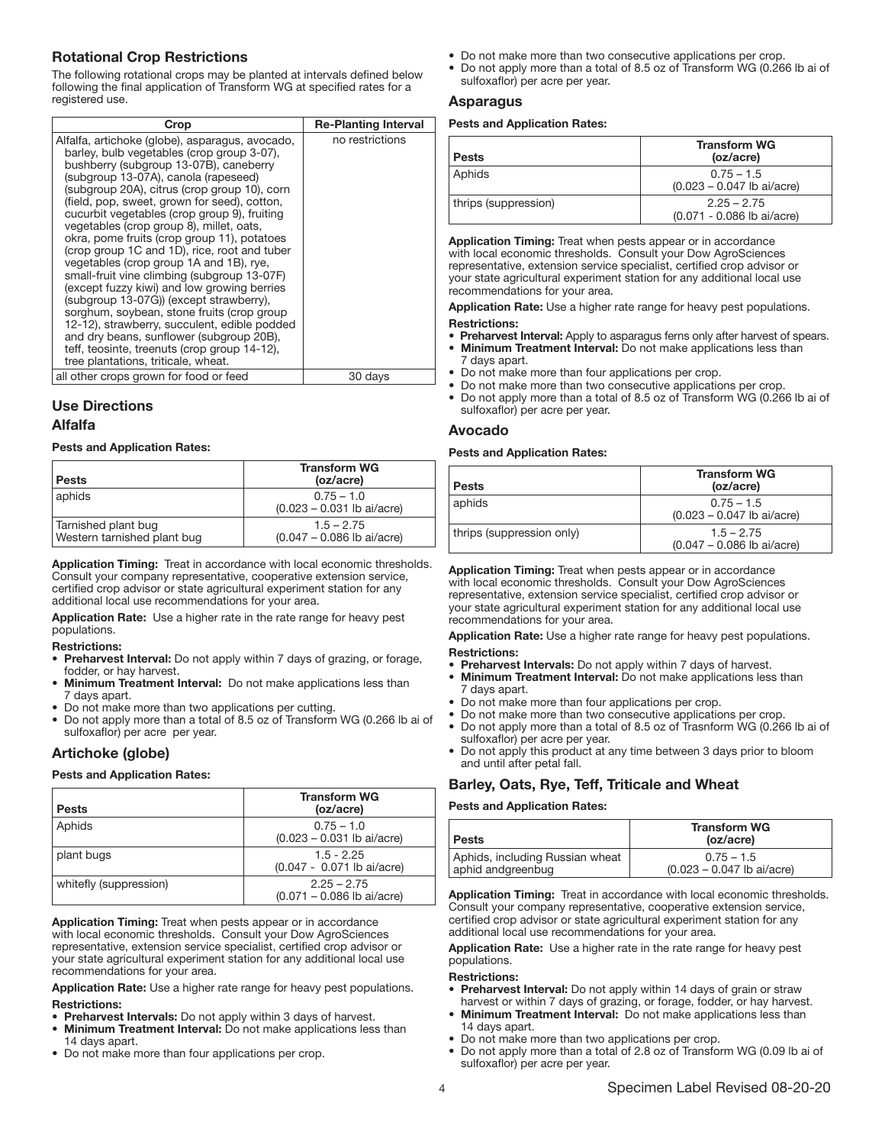## Rotational Crop Restrictions

The following rotational crops may be planted at intervals defined below following the final application of Transform WG at specified rates for a registered use. İ

| Crop                                                                                                                                                                                                                                                                                                                                                                                                                                                                                                                                                                                                                                                                                                                                                                                                                                                                                            | <b>Re-Planting Interval</b> |
|-------------------------------------------------------------------------------------------------------------------------------------------------------------------------------------------------------------------------------------------------------------------------------------------------------------------------------------------------------------------------------------------------------------------------------------------------------------------------------------------------------------------------------------------------------------------------------------------------------------------------------------------------------------------------------------------------------------------------------------------------------------------------------------------------------------------------------------------------------------------------------------------------|-----------------------------|
| Alfalfa, artichoke (globe), asparagus, avocado,<br>barley, bulb vegetables (crop group 3-07),<br>bushberry (subgroup 13-07B), caneberry<br>(subgroup 13-07A), canola (rapeseed)<br>(subgroup 20A), citrus (crop group 10), corn<br>(field, pop, sweet, grown for seed), cotton,<br>cucurbit vegetables (crop group 9), fruiting<br>vegetables (crop group 8), millet, oats,<br>okra, pome fruits (crop group 11), potatoes<br>(crop group 1C and 1D), rice, root and tuber<br>vegetables (crop group 1A and 1B), rye,<br>small-fruit vine climbing (subgroup 13-07F)<br>(except fuzzy kiwi) and low growing berries<br>(subgroup 13-07G)) (except strawberry),<br>sorghum, soybean, stone fruits (crop group<br>12-12), strawberry, succulent, edible podded<br>and dry beans, sunflower (subgroup 20B),<br>teff, teosinte, treenuts (crop group 14-12),<br>tree plantations, triticale, wheat. | no restrictions             |
| all other crops grown for food or feed                                                                                                                                                                                                                                                                                                                                                                                                                                                                                                                                                                                                                                                                                                                                                                                                                                                          | 30 days                     |

## Use Directions

#### Alfalfa

Ī Pests and Application Rates:

| <b>Pests</b>                                       | <b>Transform WG</b><br>(oz/acre)             |
|----------------------------------------------------|----------------------------------------------|
| aphids                                             | $0.75 - 1.0$<br>$(0.023 - 0.031$ lb ai/acre) |
| Tarnished plant bug<br>Western tarnished plant bug | $1.5 - 2.75$<br>$(0.047 - 0.086$ lb ai/acre) |

Ī Application Timing: Treat in accordance with local economic thresholds. Consult your company representative, cooperative extension service, certified crop advisor or state agricultural experiment station for any additional local use recommendations for your area.

Application Rate: Use a higher rate in the rate range for heavy pest populations.

#### Restrictions:

Ï

- Preharvest Interval: Do not apply within 7 days of grazing, or forage, fodder, or hay harvest.
- Minimum Treatment Interval: Do not make applications less than 7 days apart.
- Do not make more than two applications per cutting.
- Do not apply more than a total of 8.5 oz of Transform WG (0.266 lb ai of sulfoxaflor) per acre per year.

## Artichoke (globe)

## Pests and Application Rates:

| <b>Pests</b>           | <b>Transform WG</b><br>(oz/acre)              |
|------------------------|-----------------------------------------------|
| Aphids                 | $0.75 - 1.0$<br>$(0.023 - 0.031$ lb ai/acre)  |
| plant bugs             | $1.5 - 2.25$<br>(0.047 - 0.071 lb ai/acre)    |
| whitefly (suppression) | $2.25 - 2.75$<br>$(0.071 - 0.086$ lb ai/acre) |

Application Timing: Treat when pests appear or in accordance with local economic thresholds. Consult your Dow AgroSciences representative, extension service specialist, certified crop advisor or your state agricultural experiment station for any additional local use recommendations for your area.

Application Rate: Use a higher rate range for heavy pest populations. Restrictions:

- Preharvest Intervals: Do not apply within 3 days of harvest.
- **Minimum Treatment Interval:** Do not make applications less than 14 days apart.
- Do not make more than four applications per crop.
- Do not make more than two consecutive applications per crop.
- Do not apply more than a total of 8.5 oz of Transform WG (0.266 lb ai of sulfoxaflor) per acre per year.

## Asparagus

## Pests and Application Rates:

| <b>Pests</b>         | <b>Transform WG</b><br>(oz/acre)             |
|----------------------|----------------------------------------------|
| Aphids               | $0.75 - 1.5$<br>$(0.023 - 0.047$ lb ai/acre) |
| thrips (suppression) | $2.25 - 2.75$<br>(0.071 - 0.086 lb ai/acre)  |

Application Timing: Treat when pests appear or in accordance with local economic thresholds. Consult your Dow AgroSciences representative, extension service specialist, certified crop advisor or your state agricultural experiment station for any additional local use recommendations for your area.

Application Rate: Use a higher rate range for heavy pest populations.

## Restrictions:

- Preharvest Interval: Apply to asparagus ferns only after harvest of spears.
- Minimum Treatment Interval: Do not make applications less than 7 days apart.
- Do not make more than four applications per crop.
- Do not make more than two consecutive applications per crop.
- Do not apply more than a total of 8.5 oz of Transform WG (0.266 lb ai of sulfoxaflor) per acre per year.

## Avocado

## Pests and Application Rates:

| <b>Pests</b>              | <b>Transform WG</b><br>(oz/acre)             |
|---------------------------|----------------------------------------------|
| aphids                    | $0.75 - 1.5$<br>$(0.023 - 0.047$ lb ai/acre) |
| thrips (suppression only) | $1.5 - 2.75$<br>$(0.047 - 0.086$ lb ai/acre) |

٦ Application Timing: Treat when pests appear or in accordance with local economic thresholds. Consult your Dow AgroSciences representative, extension service specialist, certified crop advisor or your state agricultural experiment station for any additional local use recommendations for your area.

Application Rate: Use a higher rate range for heavy pest populations. Restrictions:

- Preharvest Intervals: Do not apply within 7 days of harvest.
- **Minimum Treatment Interval:** Do not make applications less than days apart.
- Do not make more than four applications per crop.
- Do not make more than two consecutive applications per crop. • Do not apply more than a total of 8.5 oz of Trasnform WG (0.266 lb ai of
- sulfoxaflor) per acre per year. • Do not apply this product at any time between 3 days prior to bloom and until after petal fall.

## Barley, Oats, Rye, Teff, Triticale and Wheat

## Pests and Application Rates:

| <b>Pests</b>                    | <b>Transform WG</b><br>(oz/acre) |
|---------------------------------|----------------------------------|
| Aphids, including Russian wheat | $0.75 - 1.5$                     |
| aphid andgreenbug               | $(0.023 - 0.047$ lb ai/acre)     |

I Application Timing: Treat in accordance with local economic thresholds. Consult your company representative, cooperative extension service, certified crop advisor or state agricultural experiment station for any additional local use recommendations for your area.

Application Rate: Use a higher rate in the rate range for heavy pest populations.

#### Restrictions:

- Preharvest Interval: Do not apply within 14 days of grain or straw harvest or within 7 days of grazing, or forage, fodder, or hay harvest.
- Minimum Treatment Interval: Do not make applications less than 14 days apart.
- Do not make more than two applications per crop.
- Do not apply more than a total of 2.8 oz of Transform WG (0.09 lb ai of sulfoxaflor) per acre per year.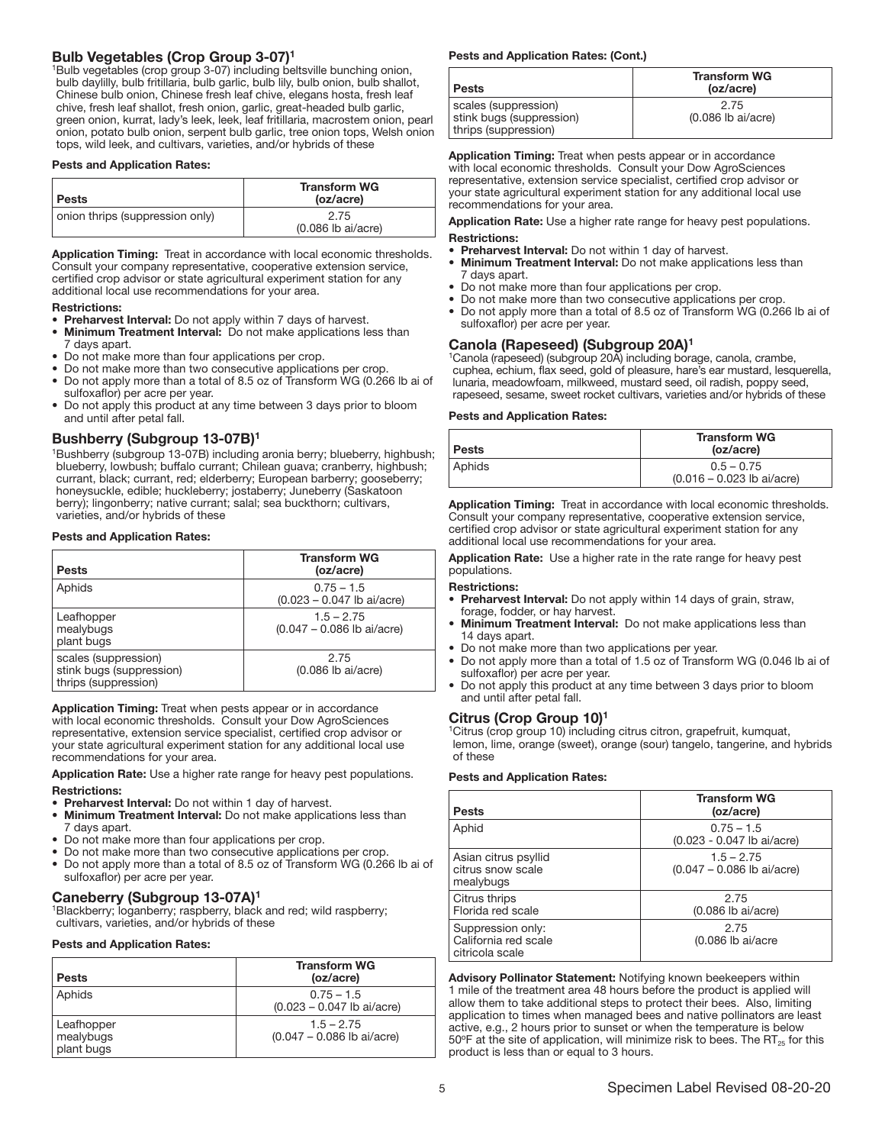## Bulb Vegetables (Crop Group 3-07)1

1Bulb vegetables (crop group 3-07) including beltsville bunching onion, bulb daylilly, bulb fritillaria, bulb garlic, bulb lily, bulb onion, bulb shallot, Chinese bulb onion, Chinese fresh leaf chive, elegans hosta, fresh leaf chive, fresh leaf shallot, fresh onion, garlic, great-headed bulb garlic, green onion, kurrat, lady's leek, leek, leaf fritillaria, macrostem onion, pearl onion, potato bulb onion, serpent bulb garlic, tree onion tops, Welsh onion tops, wild leek, and cultivars, varieties, and/or hybrids of these

## Pests and Application Rates:

| Pests                           | <b>Transform WG</b><br>(oz/acre) |
|---------------------------------|----------------------------------|
| onion thrips (suppression only) | 2.75<br>$(0.086$ lb ai/acre)     |

I Application Timing: Treat in accordance with local economic thresholds. Consult your company representative, cooperative extension service, certified crop advisor or state agricultural experiment station for any additional local use recommendations for your area.

#### Restrictions:

- Preharvest Interval: Do not apply within 7 days of harvest.
- Minimum Treatment Interval: Do not make applications less than 7 days apart.
- Do not make more than four applications per crop.
- Do not make more than two consecutive applications per crop.
- Do not apply more than a total of 8.5 oz of Transform WG (0.266 lb ai of sulfoxaflor) per acre per year.
- Do not apply this product at any time between 3 days prior to bloom and until after petal fall.

## Bushberry (Subgroup 13-07B)1

<sup>1</sup>Bushberry (subgroup 13-07B) including aronia berry; blueberry, highbush; blueberry, lowbush; buffalo currant; Chilean guava; cranberry, highbush; currant, black; currant, red; elderberry; European barberry; gooseberry; honeysuckle, edible; huckleberry; jostaberry; Juneberry (Saskatoon berry); lingonberry; native currant; salal; sea buckthorn; cultivars, varieties, and/or hybrids of these

## Pests and Application Rates:

| <b>Pests</b>                                                             | <b>Transform WG</b><br>(oz/acre)             |
|--------------------------------------------------------------------------|----------------------------------------------|
| Aphids                                                                   | $0.75 - 1.5$<br>$(0.023 - 0.047$ lb ai/acre) |
| Leafhopper<br>mealybugs<br>plant bugs                                    | $1.5 - 2.75$<br>$(0.047 - 0.086$ lb ai/acre) |
| scales (suppression)<br>stink bugs (suppression)<br>thrips (suppression) | 2.75<br>$(0.086$ lb ai/acre)                 |

Application Timing: Treat when pests appear or in accordance with local economic thresholds. Consult your Dow AgroSciences representative, extension service specialist, certified crop advisor or your state agricultural experiment station for any additional local use recommendations for your area.

Application Rate: Use a higher rate range for heavy pest populations. Restrictions:

- Preharvest Interval: Do not within 1 day of harvest.
- **Minimum Treatment Interval:** Do not make applications less than 7 days apart.
- Do not make more than four applications per crop.
- Do not make more than two consecutive applications per crop.
- Do not apply more than a total of 8.5 oz of Transform WG (0.266 lb ai of sulfoxaflor) per acre per year.

## Caneberry (Subgroup 13-07A)<sup>1</sup>

<sup>1</sup>Blackberry; loganberry; raspberry, black and red; wild raspberry; cultivars, varieties, and/or hybrids of these

## Pests and Application Rates:

| <b>Pests</b>                          | <b>Transform WG</b><br>(oz/acre)             |
|---------------------------------------|----------------------------------------------|
| Aphids                                | $0.75 - 1.5$<br>$(0.023 - 0.047$ lb ai/acre) |
| Leafhopper<br>mealybugs<br>plant bugs | $1.5 - 2.75$<br>$(0.047 - 0.086$ lb ai/acre) |

## Pests and Application Rates: (Cont.)

| <b>Pests</b>                                                             | <b>Transform WG</b><br>(oz/acre) |
|--------------------------------------------------------------------------|----------------------------------|
| scales (suppression)<br>stink bugs (suppression)<br>thrips (suppression) | 2.75<br>$(0.086$ lb ai/acre)     |

Ï Application Timing: Treat when pests appear or in accordance with local economic thresholds. Consult your Dow AgroSciences representative, extension service specialist, certified crop advisor or your state agricultural experiment station for any additional local use recommendations for your area.

Application Rate: Use a higher rate range for heavy pest populations. Restrictions:

- Preharvest Interval: Do not within 1 day of harvest.
- Minimum Treatment Interval: Do not make applications less than 7 days apart.
- Do not make more than four applications per crop.
- Do not make more than two consecutive applications per crop.
- Do not apply more than a total of 8.5 oz of Transform WG (0.266 lb ai of sulfoxaflor) per acre per year.

## Canola (Rapeseed) (Subgroup 20A)1

1Canola (rapeseed) (subgroup 20A) including borage, canola, crambe, cuphea, echium, flax seed, gold of pleasure, hare's ear mustard, lesquerella, lunaria, meadowfoam, milkweed, mustard seed, oil radish, poppy seed, rapeseed, sesame, sweet rocket cultivars, varieties and/or hybrids of these

## Pests and Application Rates:

| Pests  | <b>Transform WG</b><br>(oz/acre)             |
|--------|----------------------------------------------|
| Aphids | $0.5 - 0.75$<br>$(0.016 - 0.023$ lb ai/acre) |

Ī Application Timing: Treat in accordance with local economic thresholds. Consult your company representative, cooperative extension service, certified crop advisor or state agricultural experiment station for any additional local use recommendations for your area.

Application Rate: Use a higher rate in the rate range for heavy pest populations.

#### Restrictions:

- Preharvest Interval: Do not apply within 14 days of grain, straw, forage, fodder, or hay harvest.
- Minimum Treatment Interval: Do not make applications less than 14 days apart.
- Do not make more than two applications per year.
- Do not apply more than a total of 1.5 oz of Transform WG (0.046 lb ai of sulfoxaflor) per acre per year.
- Do not apply this product at any time between 3 days prior to bloom and until after petal fall.

## Citrus (Crop Group 10)1

<sup>1</sup>Citrus (crop group 10) including citrus citron, grapefruit, kumquat, lemon, lime, orange (sweet), orange (sour) tangelo, tangerine, and hybrids of these

## Pests and Application Rates:

| <b>Transform WG</b><br>(oz/acre)             |
|----------------------------------------------|
| $0.75 - 1.5$<br>(0.023 - 0.047 lb ai/acre)   |
| $1.5 - 2.75$<br>$(0.047 - 0.086$ lb ai/acre) |
| 2.75<br>$(0.086$ lb ai/acre)                 |
| 2.75<br>$(0.086$ lb ai/acre                  |
|                                              |

Advisory Pollinator Statement: Notifying known beekeepers within 1 mile of the treatment area 48 hours before the product is applied will allow them to take additional steps to protect their bees. Also, limiting application to times when managed bees and native pollinators are least active, e.g., 2 hours prior to sunset or when the temperature is below 50 $\degree$ F at the site of application, will minimize risk to bees. The RT<sub>25</sub> for this product is less than or equal to 3 hours.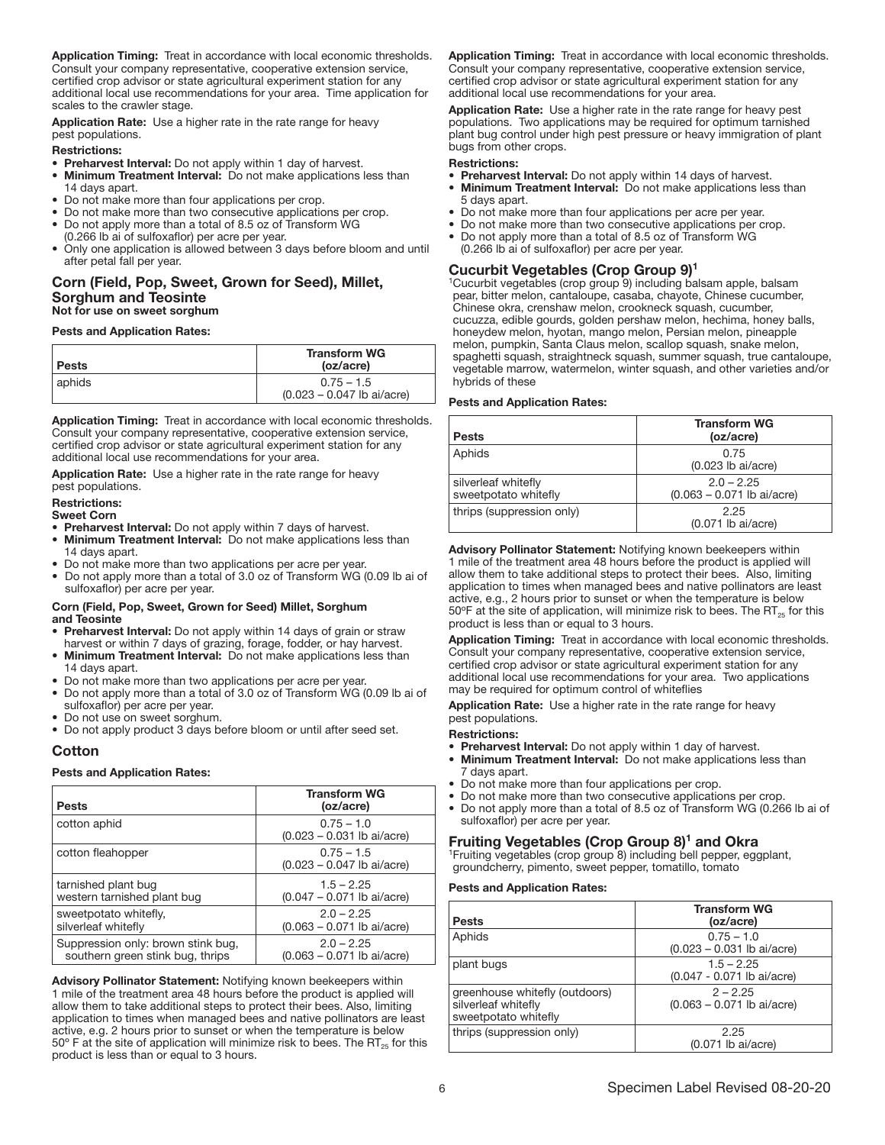Application Timing: Treat in accordance with local economic thresholds. Consult your company representative, cooperative extension service, certified crop advisor or state agricultural experiment station for any additional local use recommendations for your area. Time application for scales to the crawler stage.

Application Rate: Use a higher rate in the rate range for heavy pest populations.

#### Restrictions:

- Preharvest Interval: Do not apply within 1 day of harvest.
- Minimum Treatment Interval: Do not make applications less than 14 days apart.
- Do not make more than four applications per crop.
- Do not make more than two consecutive applications per crop. • Do not apply more than a total of 8.5 oz of Transform WG
- (0.266 lb ai of sulfoxaflor) per acre per year.
- Only one application is allowed between 3 days before bloom and until after petal fall per year.

## Corn (Field, Pop, Sweet, Grown for Seed), Millet, Sorghum and Teosinte Not for use on sweet sorghum

## Pests and Application Rates:

| <b>Pests</b> | <b>Transform WG</b><br>(oz/acre)             |
|--------------|----------------------------------------------|
| aphids       | $0.75 - 1.5$<br>$(0.023 - 0.047$ lb ai/acre) |

Ī Application Timing: Treat in accordance with local economic thresholds. Consult your company representative, cooperative extension service, certified crop advisor or state agricultural experiment station for any additional local use recommendations for your area.

Application Rate: Use a higher rate in the rate range for heavy pest populations.

#### Restrictions:

- Sweet Corn
- Preharvest Interval: Do not apply within 7 days of harvest.
- Minimum Treatment Interval: Do not make applications less than 14 days apart.
- Do not make more than two applications per acre per year.
- Do not apply more than a total of 3.0 oz of Transform WG (0.09 lb ai of sulfoxaflor) per acre per year.

#### Corn (Field, Pop, Sweet, Grown for Seed) Millet, Sorghum and Teosinte

- Preharvest Interval: Do not apply within 14 days of grain or straw harvest or within 7 days of grazing, forage, fodder, or hay harvest.
- Minimum Treatment Interval: Do not make applications less than 14 days apart.
- Do not make more than two applications per acre per year.
- Do not apply more than a total of 3.0 oz of Transform WG (0.09 lb ai of sulfoxaflor) per acre per year.
- Do not use on sweet sorghum.
- Do not apply product 3 days before bloom or until after seed set.

#### Cotton Ĩ

## Pests and Application Rates:

| <b>Pests</b>                       | <b>Transform WG</b><br>(oz/acre)              |
|------------------------------------|-----------------------------------------------|
| cotton aphid                       | $0.75 - 1.0$<br>$(0.023 - 0.031$ lb ai/acre)  |
| cotton fleahopper                  | $0.75 - 1.5$<br>$(0.023 - 0.047)$ lb ai/acre) |
| tarnished plant bug                | $1.5 - 2.25$                                  |
| western tarnished plant bug        | $(0.047 - 0.071$ lb ai/acre)                  |
| sweetpotato whitefly,              | $2.0 - 2.25$                                  |
| silverleaf whitefly                | $(0.063 - 0.071$ lb ai/acre)                  |
| Suppression only: brown stink bug, | $2.0 - 2.25$                                  |
| southern green stink bug, thrips   | $(0.063 - 0.071$ lb ai/acre)                  |

Advisory Pollinator Statement: Notifying known beekeepers within 1 mile of the treatment area 48 hours before the product is applied will allow them to take additional steps to protect their bees. Also, limiting application to times when managed bees and native pollinators are least active, e.g. 2 hours prior to sunset or when the temperature is below  $50^{\circ}$  F at the site of application will minimize risk to bees. The RT<sub>25</sub> for this product is less than or equal to 3 hours.

Application Timing: Treat in accordance with local economic thresholds. Consult your company representative, cooperative extension service, certified crop advisor or state agricultural experiment station for any additional local use recommendations for your area.

Application Rate: Use a higher rate in the rate range for heavy pest populations. Two applications may be required for optimum tarnished plant bug control under high pest pressure or heavy immigration of plant bugs from other crops.

#### Restrictions:

- Preharvest Interval: Do not apply within 14 days of harvest.
- **Minimum Treatment Interval:** Do not make applications less than 5 days apart.
- Do not make more than four applications per acre per year.
- Do not make more than two consecutive applications per crop.
- Do not apply more than a total of 8.5 oz of Transform WG (0.266 lb ai of sulfoxaflor) per acre per year.

## Cucurbit Vegetables (Crop Group 9)1

1Cucurbit vegetables (crop group 9) including balsam apple, balsam pear, bitter melon, cantaloupe, casaba, chayote, Chinese cucumber, Chinese okra, crenshaw melon, crookneck squash, cucumber, cucuzza, edible gourds, golden pershaw melon, hechima, honey balls, honeydew melon, hyotan, mango melon, Persian melon, pineapple melon, pumpkin, Santa Claus melon, scallop squash, snake melon, spaghetti squash, straightneck squash, summer squash, true cantaloupe, vegetable marrow, watermelon, winter squash, and other varieties and/or hybrids of these

## Pests and Application Rates:

| <b>Pests</b>                                | <b>Transform WG</b><br>(oz/acre)             |
|---------------------------------------------|----------------------------------------------|
| Aphids                                      | 0.75<br>$(0.023$ lb ai/acre)                 |
| silverleaf whitefly<br>sweetpotato whitefly | $2.0 - 2.25$<br>$(0.063 - 0.071$ lb ai/acre) |
| thrips (suppression only)                   | 2.25<br>$(0.071$ lb ai/acre)                 |
|                                             |                                              |

Ī Advisory Pollinator Statement: Notifying known beekeepers within 1 mile of the treatment area 48 hours before the product is applied will allow them to take additional steps to protect their bees. Also, limiting application to times when managed bees and native pollinators are least active, e.g., 2 hours prior to sunset or when the temperature is below 50 $\degree$ F at the site of application, will minimize risk to bees. The RT<sub>25</sub> for this product is less than or equal to 3 hours.

Application Timing: Treat in accordance with local economic thresholds. Consult your company representative, cooperative extension service, certified crop advisor or state agricultural experiment station for any additional local use recommendations for your area. Two applications may be required for optimum control of whiteflies

Application Rate: Use a higher rate in the rate range for heavy pest populations.

#### Restrictions:

- Preharvest Interval: Do not apply within 1 day of harvest.
- **Minimum Treatment Interval:** Do not make applications less than 7 days apart.
- Do not make more than four applications per crop.
- Do not make more than two consecutive applications per crop.
- Do not apply more than a total of 8.5 oz of Transform WG (0.266 lb ai of sulfoxaflor) per acre per year.

## **Fruiting Vegetables (Crop Group 8)<sup>1</sup> and Okra** 1Fruiting vegetables (crop group 8) including bell pepper, eggplant,

groundcherry, pimento, sweet pepper, tomatillo, tomato

## Pests and Application Rates:

| <b>Pests</b>                                                                  | <b>Transform WG</b><br>(oz/acre)             |
|-------------------------------------------------------------------------------|----------------------------------------------|
| Aphids                                                                        | $0.75 - 1.0$<br>$(0.023 - 0.031$ lb ai/acre) |
| plant bugs                                                                    | $1.5 - 2.25$<br>(0.047 - 0.071 lb ai/acre)   |
| greenhouse whitefly (outdoors)<br>silverleaf whitefly<br>sweetpotato whitefly | $2 - 2.25$<br>$(0.063 - 0.071$ lb ai/acre)   |
| thrips (suppression only)                                                     | 2.25<br>$(0.071$ lb ai/acre)                 |

I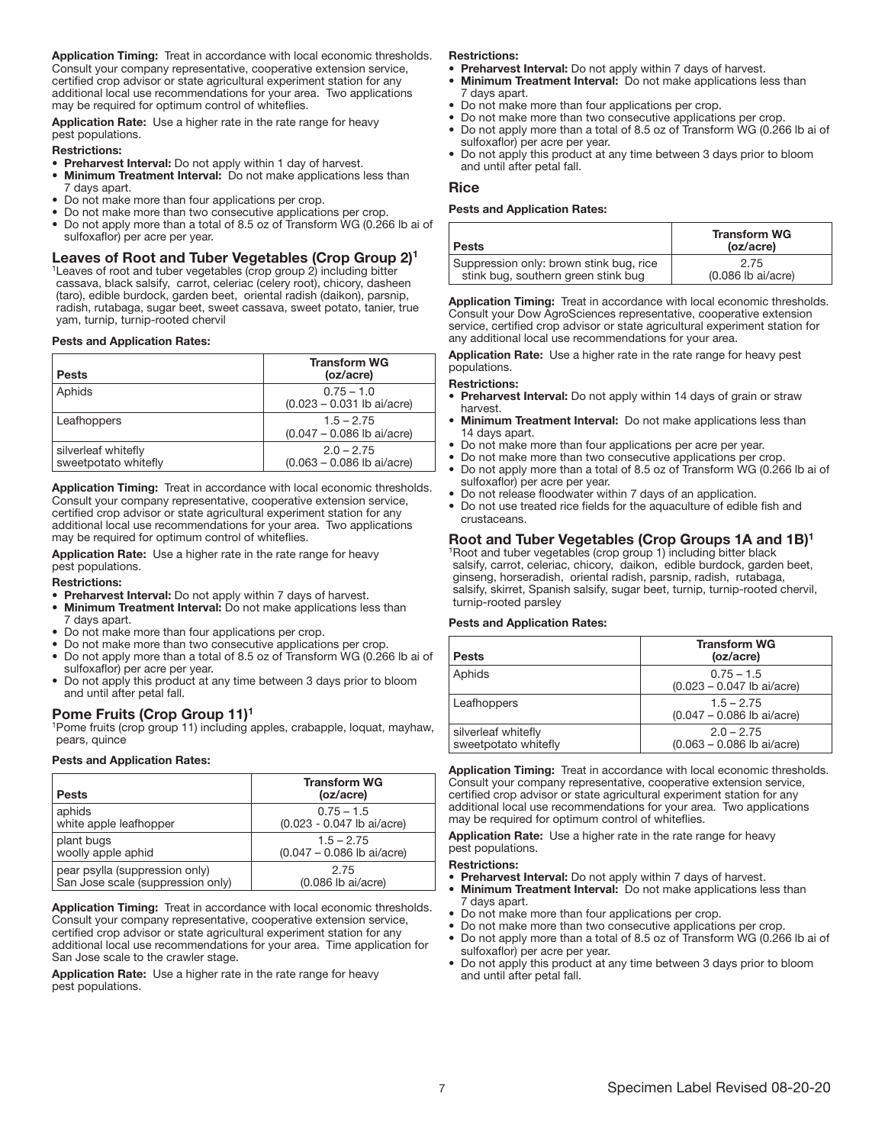Application Timing: Treat in accordance with local economic thresholds. Consult your company representative, cooperative extension service, certified crop advisor or state agricultural experiment station for any additional local use recommendations for your area. Two applications may be required for optimum control of whiteflies.

Application Rate: Use a higher rate in the rate range for heavy pest populations.

#### Restrictions:

- Preharvest Interval: Do not apply within 1 day of harvest.
- **Minimum Treatment Interval:** Do not make applications less than 7 days apart.
- Do not make more than four applications per crop.
- Do not make more than two consecutive applications per crop.
- Do not apply more than a total of 8.5 oz of Transform WG (0.266 lb ai of sulfoxaflor) per acre per year.

#### Leaves of Root and Tuber Vegetables (Crop Group 2)<sup>1</sup>

<sup>1</sup>Leaves of root and tuber vegetables (crop group 2) including bitter cassava, black salsify, carrot, celeriac (celery root), chicory, dasheen (taro), edible burdock, garden beet, oriental radish (daikon), parsnip, radish, rutabaga, sugar beet, sweet cassava, sweet potato, tanier, true yam, turnip, turnip-rooted chervil

## Pests and Application Rates:

| <b>Pests</b>                                | <b>Transform WG</b><br>(oz/acre)             |
|---------------------------------------------|----------------------------------------------|
| Aphids                                      | $0.75 - 1.0$<br>$(0.023 - 0.031$ lb ai/acre) |
| Leafhoppers                                 | $1.5 - 2.75$<br>$(0.047 - 0.086$ lb ai/acre) |
| silverleaf whitefly<br>sweetpotato whitefly | $2.0 - 2.75$<br>$(0.063 - 0.086$ lb ai/acre) |

Application Timing: Treat in accordance with local economic thresholds. Consult your company representative, cooperative extension service, certified crop advisor or state agricultural experiment station for any additional local use recommendations for your area. Two applications may be required for optimum control of whiteflies.

Application Rate: Use a higher rate in the rate range for heavy pest populations.

#### Restrictions:

- Preharvest Interval: Do not apply within 7 days of harvest.
- **Minimum Treatment Interval:** Do not make applications less than 7 days apart.
- Do not make more than four applications per crop.
- Do not make more than two consecutive applications per crop.
- Do not apply more than a total of 8.5 oz of Transform WG (0.266 lb ai of sulfoxaflor) per acre per year.
- Do not apply this product at any time between 3 days prior to bloom and until after petal fall.

#### Pome Fruits (Crop Group 11)1

1Pome fruits (crop group 11) including apples, crabapple, loquat, mayhaw, pears, quince

## Pests and Application Rates:

| <b>Pests</b>                      | <b>Transform WG</b><br>(oz/acre) |
|-----------------------------------|----------------------------------|
| aphids                            | $0.75 - 1.5$                     |
| white apple leafhopper            | (0.023 - 0.047 lb ai/acre)       |
| plant bugs                        | $1.5 - 2.75$                     |
| woolly apple aphid                | $(0.047 - 0.086$ lb ai/acre)     |
| pear psylla (suppression only)    | 2.75                             |
| San Jose scale (suppression only) | $(0.086$ lb ai/acre)             |

Application Timing: Treat in accordance with local economic thresholds. Consult your company representative, cooperative extension service, certified crop advisor or state agricultural experiment station for any additional local use recommendations for your area. Time application for San Jose scale to the crawler stage.

Application Rate: Use a higher rate in the rate range for heavy pest populations.

#### Restrictions:

- Preharvest Interval: Do not apply within 7 days of harvest.
- **Minimum Treatment Interval:** Do not make applications less than 7 days apart.
- Do not make more than four applications per crop.
- Do not make more than two consecutive applications per crop.
- Do not apply more than a total of 8.5 oz of Transform WG (0.266 lb ai of sulfoxaflor) per acre per year.
- Do not apply this product at any time between 3 days prior to bloom and until after petal fall.

#### Rice Ī

## Pests and Application Rates:

| Pests                                   | <b>Transform WG</b><br>(oz/acre) |
|-----------------------------------------|----------------------------------|
| Suppression only: brown stink bug, rice | 2.75                             |
| stink bug, southern green stink bug     | $(0.086$ lb ai/acre)             |

I Application Timing: Treat in accordance with local economic thresholds. Consult your Dow AgroSciences representative, cooperative extension service, certified crop advisor or state agricultural experiment station for any additional local use recommendations for your area.

Application Rate: Use a higher rate in the rate range for heavy pest populations.

#### Restrictions:

- Preharvest Interval: Do not apply within 14 days of grain or straw harvest.
- Minimum Treatment Interval: Do not make applications less than 14 days apart.
- Do not make more than four applications per acre per year.
- Do not make more than two consecutive applications per crop. • Do not apply more than a total of 8.5 oz of Transform WG (0.266 lb ai of
- sulfoxaflor) per acre per year.
- Do not release floodwater within 7 days of an application.
- Do not use treated rice fields for the aquaculture of edible fish and crustaceans.

## Root and Tuber Vegetables (Crop Groups 1A and 1B)1

1Root and tuber vegetables (crop group 1) including bitter black salsify, carrot, celeriac, chicory, daikon, edible burdock, garden beet, ginseng, horseradish, oriental radish, parsnip, radish, rutabaga, salsify, skirret, Spanish salsify, sugar beet, turnip, turnip-rooted chervil, turnip-rooted parsley

## Pests and Application Rates:

| <b>Pests</b>                                | <b>Transform WG</b><br>(oz/acre)             |
|---------------------------------------------|----------------------------------------------|
| Aphids                                      | $0.75 - 1.5$<br>$(0.023 - 0.047$ lb ai/acre) |
| Leafhoppers                                 | $1.5 - 2.75$<br>$(0.047 - 0.086$ lb ai/acre) |
| silverleaf whitefly<br>sweetpotato whitefly | $2.0 - 2.75$<br>$(0.063 - 0.086$ lb ai/acre) |

Application Timing: Treat in accordance with local economic thresholds. Consult your company representative, cooperative extension service, certified crop advisor or state agricultural experiment station for any additional local use recommendations for your area. Two applications may be required for optimum control of whiteflies.

Application Rate: Use a higher rate in the rate range for heavy pest populations.

Restrictions:

- Preharvest Interval: Do not apply within 7 days of harvest.
- **Minimum Treatment Interval:** Do not make applications less than 7 days apart.
- Do not make more than four applications per crop.
- Do not make more than two consecutive applications per crop.
- Do not apply more than a total of 8.5 oz of Transform WG (0.266 lb ai of sulfoxaflor) per acre per year.
- Do not apply this product at any time between 3 days prior to bloom and until after petal fall.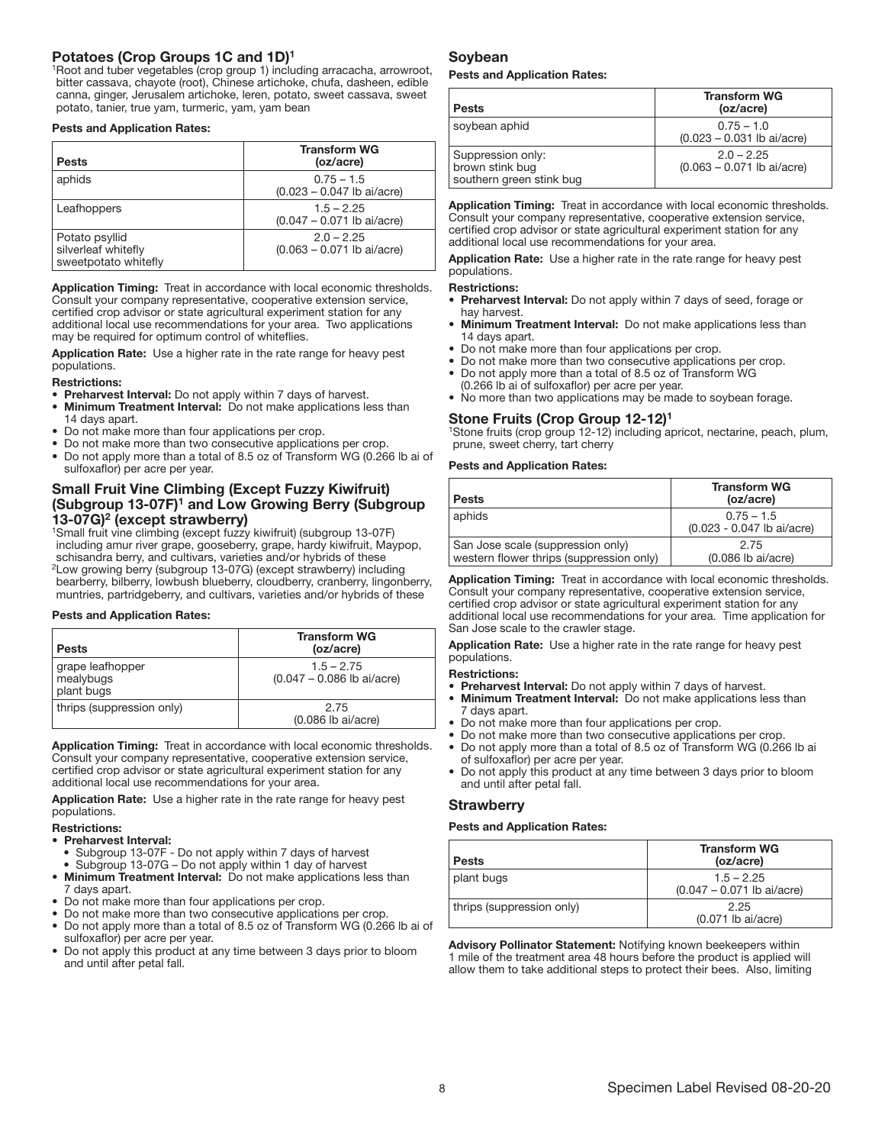## Potatoes (Crop Groups 1C and 1D)1

1Root and tuber vegetables (crop group 1) including arracacha, arrowroot, bitter cassava, chayote (root), Chinese artichoke, chufa, dasheen, edible canna, ginger, Jerusalem artichoke, leren, potato, sweet cassava, sweet potato, tanier, true yam, turmeric, yam, yam bean

## Pests and Application Rates:

| <b>Pests</b>                                                  | <b>Transform WG</b><br>(oz/acre)             |
|---------------------------------------------------------------|----------------------------------------------|
| aphids                                                        | $0.75 - 1.5$<br>$(0.023 - 0.047$ lb ai/acre) |
| Leafhoppers                                                   | $1.5 - 2.25$<br>$(0.047 - 0.071$ lb ai/acre) |
| Potato psyllid<br>silverleaf whitefly<br>sweetpotato whitefly | $2.0 - 2.25$<br>$(0.063 - 0.071$ lb ai/acre) |

Application Timing: Treat in accordance with local economic thresholds. Consult your company representative, cooperative extension service, certified crop advisor or state agricultural experiment station for any additional local use recommendations for your area. Two applications may be required for optimum control of whiteflies.

Application Rate: Use a higher rate in the rate range for heavy pest populations.

#### Restrictions:

• Preharvest Interval: Do not apply within 7 days of harvest.

- Minimum Treatment Interval: Do not make applications less than 14 days apart.
- Do not make more than four applications per crop.
- Do not make more than two consecutive applications per crop.
- Do not apply more than a total of 8.5 oz of Transform WG (0.266 lb ai of sulfoxaflor) per acre per year.

## Small Fruit Vine Climbing (Except Fuzzy Kiwifruit) (Subgroup 13-07F)<sup>1</sup> and Low Growing Berry (Subgroup **13-07G)<sup>2</sup> (except strawberry)**<br><sup>1</sup>Small fruit vine climbing (except fuzzy kiwifruit) (subgroup 13-07F)

including amur river grape, gooseberry, grape, hardy kiwifruit, Maypop, schisandra berry, and cultivars, varieties and/or hybrids of these 2Low growing berry (subgroup 13-07G) (except strawberry) including bearberry, bilberry, lowbush blueberry, cloudberry, cranberry, lingonberry,

muntries, partridgeberry, and cultivars, varieties and/or hybrids of these

## Pests and Application Rates:

| <b>Pests</b>                                | <b>Transform WG</b><br>(oz/acre)             |
|---------------------------------------------|----------------------------------------------|
| grape leafhopper<br>mealybugs<br>plant bugs | $1.5 - 2.75$<br>$(0.047 - 0.086$ lb ai/acre) |
| thrips (suppression only)                   | 2.75<br>$(0.086$ lb ai/acre)                 |

Application Timing: Treat in accordance with local economic thresholds. Consult your company representative, cooperative extension service, certified crop advisor or state agricultural experiment station for any additional local use recommendations for your area.

Application Rate: Use a higher rate in the rate range for heavy pest populations.

#### Restrictions:

#### • Preharvest Interval:

- Subgroup 13-07F Do not apply within 7 days of harvest
- Subgroup 13-07G Do not apply within 1 day of harvest
- **Minimum Treatment Interval:** Do not make applications less than 7 days apart.
- Do not make more than four applications per crop.
- Do not make more than two consecutive applications per crop.
- Do not apply more than a total of 8.5 oz of Transform WG (0.266 lb ai of sulfoxaflor) per acre per year.
- Do not apply this product at any time between 3 days prior to bloom and until after petal fall.

## Soybean

## Pests and Application Rates:

| <b>Pests</b>                                                     | <b>Transform WG</b><br>(oz/acre)             |
|------------------------------------------------------------------|----------------------------------------------|
| soybean aphid                                                    | $0.75 - 1.0$<br>$(0.023 - 0.031$ lb ai/acre) |
| Suppression only:<br>brown stink bug<br>southern green stink bug | $2.0 - 2.25$<br>$(0.063 - 0.071$ lb ai/acre) |

Ī Application Timing: Treat in accordance with local economic thresholds. Consult your company representative, cooperative extension service, certified crop advisor or state agricultural experiment station for any additional local use recommendations for your area.

Application Rate: Use a higher rate in the rate range for heavy pest populations.

#### Restrictions:

- Preharvest Interval: Do not apply within 7 days of seed, forage or hay harvest.
- **Minimum Treatment Interval:** Do not make applications less than 14 days apart.
- Do not make more than four applications per crop.
- Do not make more than two consecutive applications per crop.
- Do not apply more than a total of 8.5 oz of Transform WG
- (0.266 lb ai of sulfoxaflor) per acre per year.
- No more than two applications may be made to soybean forage.

## Stone Fruits (Crop Group 12-12)<sup>1</sup>

1Stone fruits (crop group 12-12) including apricot, nectarine, peach, plum, prune, sweet cherry, tart cherry

## Pests and Application Rates:

| <b>Pests</b>                                                                  | <b>Transform WG</b><br>(oz/acre)           |
|-------------------------------------------------------------------------------|--------------------------------------------|
| aphids                                                                        | $0.75 - 1.5$<br>(0.023 - 0.047 lb ai/acre) |
| San Jose scale (suppression only)<br>western flower thrips (suppression only) | 2.75<br>$(0.086$ lb ai/acre)               |

Application Timing: Treat in accordance with local economic thresholds. Consult your company representative, cooperative extension service, certified crop advisor or state agricultural experiment station for any additional local use recommendations for your area. Time application for San Jose scale to the crawler stage.

Application Rate: Use a higher rate in the rate range for heavy pest populations.

#### Restrictions:

- Preharvest Interval: Do not apply within 7 days of harvest.
- Minimum Treatment Interval: Do not make applications less than days apart.
- Do not make more than four applications per crop.
- Do not make more than two consecutive applications per crop.
- Do not apply more than a total of 8.5 oz of Transform WG (0.266 lb ai of sulfoxaflor) per acre per year.
- Do not apply this product at any time between 3 days prior to bloom and until after petal fall.

## **Strawberry**

## Pests and Application Rates:

| <b>Pests</b>              | <b>Transform WG</b><br>(oz/acre)             |
|---------------------------|----------------------------------------------|
| plant bugs                | $1.5 - 2.25$<br>$(0.047 - 0.071$ lb ai/acre) |
| thrips (suppression only) | 2.25<br>$(0.071$ lb ai/acre)                 |

Ī Advisory Pollinator Statement: Notifying known beekeepers within 1 mile of the treatment area 48 hours before the product is applied will allow them to take additional steps to protect their bees. Also, limiting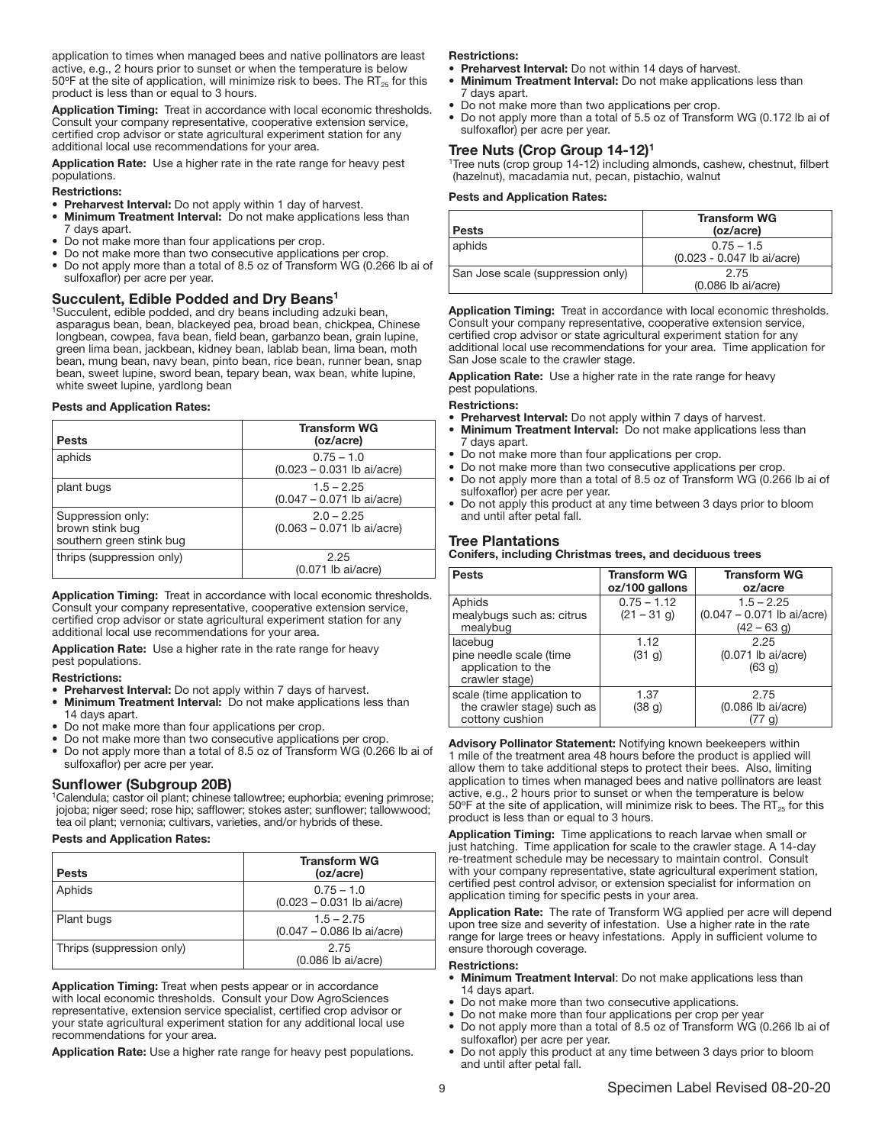application to times when managed bees and native pollinators are least active, e.g., 2 hours prior to sunset or when the temperature is below 50 $\degree$ F at the site of application, will minimize risk to bees. The RT<sub>25</sub> for this product is less than or equal to 3 hours.

Application Timing: Treat in accordance with local economic thresholds. Consult your company representative, cooperative extension service, certified crop advisor or state agricultural experiment station for any additional local use recommendations for your area.

Application Rate: Use a higher rate in the rate range for heavy pest populations.

#### Restrictions:

- Preharvest Interval: Do not apply within 1 day of harvest.
- Minimum Treatment Interval: Do not make applications less than 7 days apart.
- Do not make more than four applications per crop.
- Do not make more than two consecutive applications per crop.
- Do not apply more than a total of 8.5 oz of Transform WG (0.266 lb ai of sulfoxaflor) per acre per year.

#### Succulent, Edible Podded and Dry Beans<sup>1</sup>

<sup>1</sup>Succulent, edible podded, and dry beans including adzuki bean, asparagus bean, bean, blackeyed pea, broad bean, chickpea, Chinese longbean, cowpea, fava bean, field bean, garbanzo bean, grain lupine, green lima bean, jackbean, kidney bean, lablab bean, lima bean, moth bean, mung bean, navy bean, pinto bean, rice bean, runner bean, snap bean, sweet lupine, sword bean, tepary bean, wax bean, white lupine, white sweet lupine, yardlong bean

## Pests and Application Rates:

| <b>Pests</b>                                                     | <b>Transform WG</b><br>(oz/acre)             |
|------------------------------------------------------------------|----------------------------------------------|
| aphids                                                           | $0.75 - 1.0$<br>$(0.023 - 0.031$ lb ai/acre) |
| plant bugs                                                       | $1.5 - 2.25$<br>(0.047 - 0.071 lb ai/acre)   |
| Suppression only:<br>brown stink bug<br>southern green stink bug | $2.0 - 2.25$<br>$(0.063 - 0.071$ lb ai/acre) |
| thrips (suppression only)                                        | 2.25<br>$(0.071$ lb ai/acre)                 |

Application Timing: Treat in accordance with local economic thresholds. Consult your company representative, cooperative extension service, certified crop advisor or state agricultural experiment station for any additional local use recommendations for your area.

Application Rate: Use a higher rate in the rate range for heavy pest populations.

#### Restrictions:

- Preharvest Interval: Do not apply within 7 days of harvest.
- Minimum Treatment Interval: Do not make applications less than 14 days apart.
- Do not make more than four applications per crop.
- Do not make more than two consecutive applications per crop.
- Do not apply more than a total of 8.5 oz of Transform WG (0.266 lb ai of sulfoxaflor) per acre per year.

## Sunflower (Subgroup 20B)

1Calendula; castor oil plant; chinese tallowtree; euphorbia; evening primrose; jojoba; niger seed; rose hip; safflower; stokes aster; sunflower; tallowwood; tea oil plant; vernonia; cultivars, varieties, and/or hybrids of these.

## Pests and Application Rates:

| <b>Pests</b>              | <b>Transform WG</b><br>(oz/acre)             |
|---------------------------|----------------------------------------------|
| Aphids                    | $0.75 - 1.0$<br>$(0.023 - 0.031$ lb ai/acre) |
| Plant bugs                | $1.5 - 2.75$<br>$(0.047 - 0.086$ lb ai/acre) |
| Thrips (suppression only) | 2.75<br>$(0.086$ lb ai/acre)                 |

Ī Application Timing: Treat when pests appear or in accordance with local economic thresholds. Consult your Dow AgroSciences representative, extension service specialist, certified crop advisor or your state agricultural experiment station for any additional local use recommendations for your area.

Application Rate: Use a higher rate range for heavy pest populations.

#### Restrictions:

- Preharvest Interval: Do not within 14 days of harvest.
- **Minimum Treatment Interval:** Do not make applications less than 7 days apart.
- Do not make more than two applications per crop.
- Do not apply more than a total of 5.5 oz of Transform WG (0.172 lb ai of sulfoxaflor) per acre per year.

## Tree Nuts (Crop Group 14-12)1

<sup>1</sup>Tree nuts (crop group 14-12) including almonds, cashew, chestnut, filbert (hazelnut), macadamia nut, pecan, pistachio, walnut

## Pests and Application Rates:

| <b>Pests</b>                      | <b>Transform WG</b><br>(oz/acre)           |
|-----------------------------------|--------------------------------------------|
| aphids                            | $0.75 - 1.5$<br>(0.023 - 0.047 lb ai/acre) |
| San Jose scale (suppression only) | 2.75<br>$(0.086$ lb ai/acre)               |

٦ Application Timing: Treat in accordance with local economic thresholds. Consult your company representative, cooperative extension service, certified crop advisor or state agricultural experiment station for any additional local use recommendations for your area. Time application for San Jose scale to the crawler stage.

Application Rate: Use a higher rate in the rate range for heavy pest populations.

#### Restrictions:

- Preharvest Interval: Do not apply within 7 days of harvest.
- Minimum Treatment Interval: Do not make applications less than 7 days apart.
- Do not make more than four applications per crop.
- Do not make more than two consecutive applications per crop.
- Do not apply more than a total of 8.5 oz of Transform WG (0.266 lb ai of sulfoxaflor) per acre per year.
- Do not apply this product at any time between 3 days prior to bloom and until after petal fall.

## Tree Plantations

Conifers, including Christmas trees, and deciduous trees

| <b>Pests</b>                                                                | <b>Transform WG</b><br>oz/100 gallons | <b>Transform WG</b><br>oz/acre                                |
|-----------------------------------------------------------------------------|---------------------------------------|---------------------------------------------------------------|
| Aphids<br>mealybugs such as: citrus<br>mealybug                             | $0.75 - 1.12$<br>$(21 - 31)$ g)       | $1.5 - 2.25$<br>$(0.047 - 0.071$ lb ai/acre)<br>$(42 - 63$ g) |
| lacebug<br>pine needle scale (time<br>application to the<br>crawler stage)  | 1.12<br>(31 g)                        | 2.25<br>$(0.071$ lb ai/acre)<br>(63 g)                        |
| scale (time application to<br>the crawler stage) such as<br>cottony cushion | 1.37<br>(38 g)                        | 2.75<br>$(0.086$ lb ai/acre)<br>(77 g)                        |

Advisory Pollinator Statement: Notifying known beekeepers within 1 mile of the treatment area 48 hours before the product is applied will allow them to take additional steps to protect their bees. Also, limiting application to times when managed bees and native pollinators are least active, e.g., 2 hours prior to sunset or when the temperature is below 50 $\degree$ F at the site of application, will minimize risk to bees. The RT<sub>25</sub> for this product is less than or equal to 3 hours.

Application Timing: Time applications to reach larvae when small or just hatching. Time application for scale to the crawler stage. A 14-day re-treatment schedule may be necessary to maintain control. Consult with your company representative, state agricultural experiment station, certified pest control advisor, or extension specialist for information on application timing for specific pests in your area.

Application Rate: The rate of Transform WG applied per acre will depend upon tree size and severity of infestation. Use a higher rate in the rate range for large trees or heavy infestations. Apply in sufficient volume to ensure thorough coverage.

#### Restrictions:

- Minimum Treatment Interval: Do not make applications less than 14 days apart.
- Do not make more than two consecutive applications.
- Do not make more than four applications per crop per year
- Do not apply more than a total of 8.5 oz of Transform WG (0.266 lb ai of sulfoxaflor) per acre per year.
- Do not apply this product at any time between 3 days prior to bloom and until after petal fall.